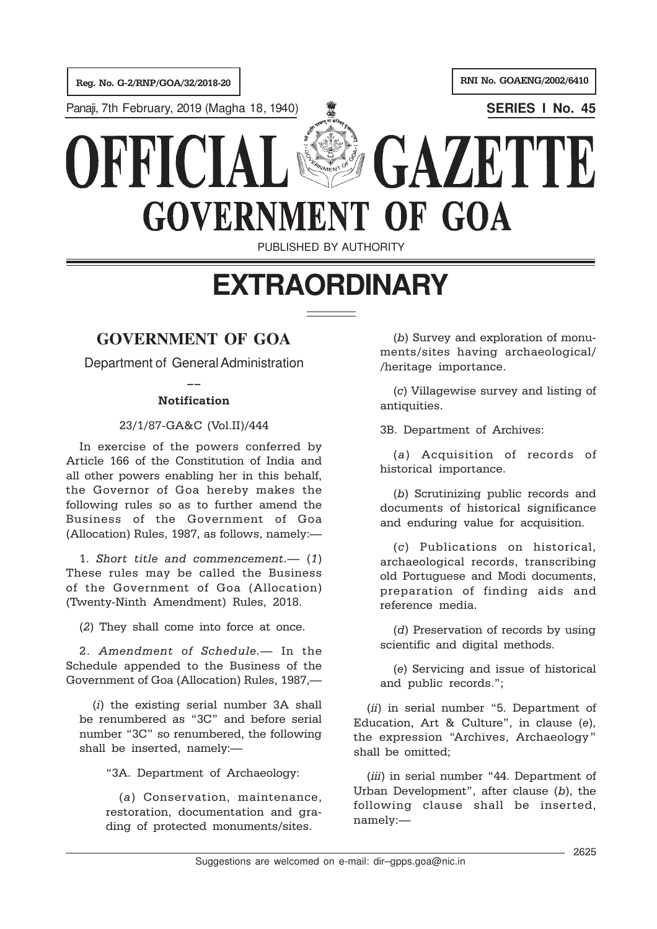Reg. No. G-2/RNP/GOA/32/2018-20 RNI No. GOAENG/2002/6410

Panaji, 7th February, 2019 (Magha 18, 1940) **SERIES I No. 45**

# GAZETTE DEEIC **GOVERNMENT OF GOA**

PUBLISHED BY AUTHORITY

## **EXTRAORDINARY**

### **GOVERNMENT OF GOA**

Department of General Administration  $\overline{a}$ 

#### Notification

#### 23/1/87-GA&C (Vol.II)/444

In exercise of the powers conferred by Article 166 of the Constitution of India and all other powers enabling her in this behalf, the Governor of Goa hereby makes the following rules so as to further amend the Business of the Government of Goa (Allocation) Rules, 1987, as follows, namely:—

1. Short title and commencement.— (1) These rules may be called the Business of the Government of Goa (Allocation) (Twenty-Ninth Amendment) Rules, 2018.

(2) They shall come into force at once.

2. Amendment of Schedule.— In the Schedule appended to the Business of the Government of Goa (Allocation) Rules, 1987,—

(i) the existing serial number 3A shall be renumbered as "3C" and before serial number "3C" so renumbered, the following shall be inserted, namely:—

"3A. Department of Archaeology:

(a) Conservation, maintenance, restoration, documentation and grading of protected monuments/sites.

(b) Survey and exploration of monuments/sites having archaeological/ /heritage importance.

(c) Villagewise survey and listing of antiquities.

3B. Department of Archives:

(a) Acquisition of records of historical importance.

(b) Scrutinizing public records and documents of historical significance and enduring value for acquisition.

(c) Publications on historical, archaeological records, transcribing old Portuguese and Modi documents, preparation of finding aids and reference media.

(d) Preservation of records by using scientific and digital methods.

(e) Servicing and issue of historical and public records.";

(ii) in serial number "5. Department of Education, Art & Culture", in clause (e), the expression "Archives, Archaeology" shall be omitted;

(*iii*) in serial number "44. Department of Urban Development", after clause (b), the following clause shall be inserted, namely:—